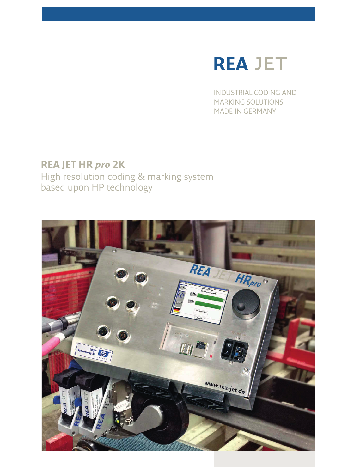

INDUSTRIAL CODING AND MARKING SOLUTIONS – MADE IN GERMANY

### **REA JET HR** *pro* **2K**

High resolution coding & marking system based upon HP technology

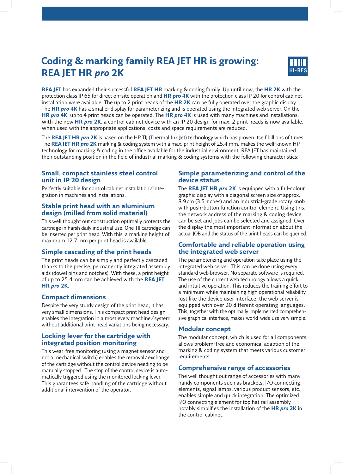## **Coding & marking family REA JET HR is growing: REA JET HR** *pro* **2K**



**REA JET** has expanded their successful **REA JET HR** marking & coding family. Up until now, the **HR 2K** with the protection class IP 65 for direct on-site operation and **HR pro 4K** with the protection class IP 20 for control cabinet installation were available. The up to 2 print heads of the **HR 2K** can be fully operated over the graphic display. The **HR** *pro* **4K** has a smaller display for parameterizing and is operated using the integrated web server. On the **HR** *pro* **4K**, up to 4 print heads can be operated. The **HR** *pro* **4K** is used with many machines and installations. With the new **HR** *pro* **2K**, a control cabinet device with an IP 20 design for max. 2 print heads is now available. When used with the appropriate applications, costs and space requirements are reduced.

The **REA JET HR** *pro* **2K** is based on the HP TIJ (**T**hermal **I**nk **J**et) technology which has proven itself billions of times. The **REA JET HR** *pro* **2K** marking & coding system with a max. print height of 25.4 mm, makes the well-known HP technology for marking & coding in the office available for the industrial environment. REA JET has maintained their outstanding position in the field of industrial marking & coding systems with the following characteristics:

#### **Small, compact stainless steel control unit in IP 20 design**

Perfectly suitable for control cabinet installation / integration in machines and installations.

#### **Stable print head with an aluminium design (milled from solid material)**

This well thought out construction optimally protects the cartridge in harsh daily industrial use. One TIJ cartridge can be inserted per print head. With this, a marking height of maximum 12.7 mm per print head is available.

#### **Simple cascading of the print heads**

The print heads can be simply and perfectly cascaded thanks to the precise, permanently integrated assembly aids (dowel pins and notches). With these, a print height of up to 25.4 mm can be achieved with the **REA JET HR** *pro* **2K.**

#### **Compact dimensions**

Despite the very sturdy design of the print head, it has very small dimensions. This compact print head design enables the integration in almost every machine / system without additional print head variations being necessary.

#### **Locking lever for the cartridge with integrated position monitoring**

This wear-free monitoring (using a magnet sensor and not a mechanical switch) enables the removal / exchange of the cartridge without the control device needing to be manually stopped . The stop of the control device is automatically triggered using the monitored locking lever. This guarantees safe handling of the cartridge without additional intervention of the operator.

#### **Simple parameterizing and control of the device status**

The **REA JET HR** *pro* **2K** is equipped with a full-colour graphic display with a diagonal screen size of approx. 8.9 cm (3.5 inches) and an industrial-grade rotary knob with push-button function control element. Using this, the network address of the marking & coding device can be set and jobs can be selected and assigned. Over the display the most important information about the actual JOB and the status of the print heads can be queried.

#### **Comfortable and reliable operation using the integrated web server**

The parameterizing and operation take place using the integrated web server. This can be done using every standard web browser. No separate software is required. The use of the current web technology allows a quick and intuitive operation. This reduces the training effort to a minimum while maintaining high operational reliability. Just like the device user interface, the web server is equipped with over 20 different operating languages. This, together with the optimally implemented comprehensive graphical interface, makes world-wide use very simple.

#### **Modular concept**

The modular concept, which is used for all components, allows problem-free and economical adaption of the marking & coding system that meets various customer requirements.

#### **Comprehensive range of accessories**

The well thought out range of accessories with many handy components such as brackets, I/O connecting elements, signal lamps, various product sensors, etc., enables simple and quick integration. The optimized I/O connecting element for top hat rail assembly notably simplifi es the installation of the **HR** *pro* **2K** in the control cabinet.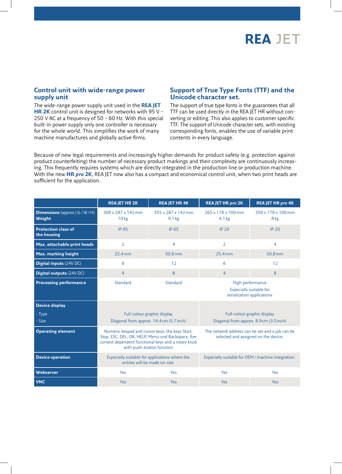

#### **Control unit with wide-range power supply unit**

The wide-range power supply unit used in the **REA JET HR 2K** control unit is designed for networks with 95 V – 250 V AC at a frequency of 50 – 60 Hz. With this special built-in power supply only one controller is necessary for the whole world. This simplifies the work of many machine manufactures and globally active firms.

#### **Support of True Type Fonts (TTF) and the Unicode character set.**

The support of true type fonts is the guarantees that all TTF can be used directly in the REA JET HR without converting or editing. This also applies to customer specific TTF. The support of Unicode character sets, with existing corresponding fonts, enables the use of variable print contents in every language.

Because of new legal requirements and increasingly higher demands for product safety (e.g. protection against product counterfeiting) the number of necessary product markings and their complexity are continuously increasing. This frequently requires systems which are directly integrated in the production line or production machine. With the new **HR** *pro* **2K**, REA JET now also has a compact and economical control unit, when two print heads are sufficient for the application.

|                                               | <b>REA JET HR 2K</b>                                                                                                                                                                      | <b>REA JET HR 4K</b>                    | <b>REA JET HR pro 2K</b>                                                                | <b>REA JET HR pro 4K</b>              |
|-----------------------------------------------|-------------------------------------------------------------------------------------------------------------------------------------------------------------------------------------------|-----------------------------------------|-----------------------------------------------------------------------------------------|---------------------------------------|
| <b>Dimensions</b> (approx.) (L/W/H)<br>Weight | 308 x 287 x 142 mm<br>10 <sub>kg</sub>                                                                                                                                                    | 355 x 287 x 142 mm<br>9.1 <sub>kg</sub> | 265 x 176 x 100 mm<br>4.1 <sub>kg</sub>                                                 | $350 \times 176 \times 100$ mm<br>8kg |
| <b>Protection class of</b><br>the housing     | IP 65                                                                                                                                                                                     | IP 65                                   | <b>IP 20</b>                                                                            | <b>IP 20</b>                          |
| Max. attachable print heads                   | $\overline{2}$                                                                                                                                                                            | 4                                       | $\overline{2}$                                                                          | 4                                     |
| Max. marking height                           | 25,4mm                                                                                                                                                                                    | 50,8mm                                  | 25,4mm                                                                                  | 50,8 mm                               |
| Digital inputs (24V DC)                       | 6                                                                                                                                                                                         | 12                                      | 6                                                                                       | 12                                    |
| <b>Digital outputs (24V DC)</b>               | $\overline{4}$                                                                                                                                                                            | 8                                       | $\overline{4}$                                                                          | $\mathbf{8}$                          |
| <b>Processing performance</b>                 | Standard                                                                                                                                                                                  | Standard                                | High performance<br>Especially suitable for<br>serialization applications               |                                       |
| <b>Device display</b>                         |                                                                                                                                                                                           |                                         |                                                                                         |                                       |
| - Type<br>- Size                              | Full-colour graphic display<br>Diagonal from approx. 14.4 cm (5.7 inch)                                                                                                                   |                                         | Full-colour graphic display<br>Diagonal from approx. 8.9 cm (3.5 inch)                  |                                       |
| <b>Operating element</b>                      | Numeric keypad and cursor keys, the keys Start,<br>Stop, ESC, DEL, OK, HELP, Menu und Backspace, five<br>context dependent functional keys and a rotary knob<br>with push-button function |                                         | The network address can be set and a job can be<br>selected and assigned on the device. |                                       |
| <b>Device operation</b>                       | Especially suitable for applications where the<br>entries will be made on-site.                                                                                                           |                                         | Especially suitable for OEM/machine integration.                                        |                                       |
| <b>Webserver</b>                              | Yes                                                                                                                                                                                       | Yes                                     | Yes                                                                                     | Yes                                   |
| <b>VNC</b>                                    | Yes                                                                                                                                                                                       | Yes                                     | Yes                                                                                     | <b>Yes</b>                            |